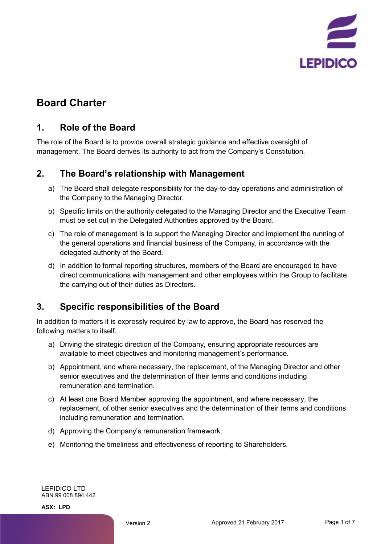

# **Board Charter**

#### **1. Role of the Board**

The role of the Board is to provide overall strategic guidance and effective oversight of management. The Board derives its authority to act from the Company's Constitution.

#### **2. The Board's relationship with Management**

- a) The Board shall delegate responsibility for the day-to-day operations and administration of the Company to the Managing Director.
- b) Specific limits on the authority delegated to the Managing Director and the Executive Team must be set out in the Delegated Authorities approved by the Board.
- c) The role of management is to support the Managing Director and implement the running of the general operations and financial business of the Company, in accordance with the delegated authority of the Board.
- d) In addition to formal reporting structures, members of the Board are encouraged to have direct communications with management and other employees within the Group to facilitate the carrying out of their duties as Directors.

## **3. Specific responsibilities of the Board**

In addition to matters it is expressly required by law to approve, the Board has reserved the following matters to itself.

- a) Driving the strategic direction of the Company, ensuring appropriate resources are available to meet objectives and monitoring management's performance.
- b) Appointment, and where necessary, the replacement, of the Managing Director and other senior executives and the determination of their terms and conditions including remuneration and termination.
- c) At least one Board Member approving the appointment, and where necessary, the replacement, of other senior executives and the determination of their terms and conditions including remuneration and termination.
- d) Approving the Company's remuneration framework.
- e) Monitoring the timeliness and effectiveness of reporting to Shareholders.

LEPIDICO LTD ABN 99 008 894 442

**ASX: LPD**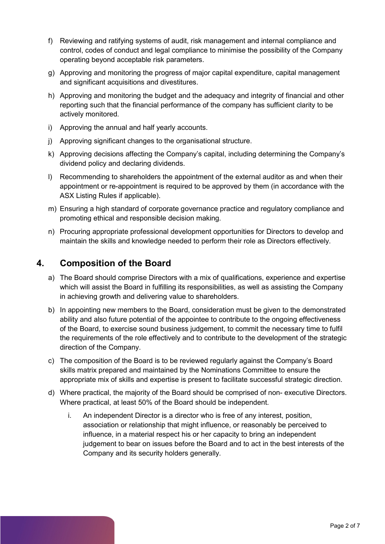- f) Reviewing and ratifying systems of audit, risk management and internal compliance and control, codes of conduct and legal compliance to minimise the possibility of the Company operating beyond acceptable risk parameters.
- g) Approving and monitoring the progress of major capital expenditure, capital management and significant acquisitions and divestitures.
- h) Approving and monitoring the budget and the adequacy and integrity of financial and other reporting such that the financial performance of the company has sufficient clarity to be actively monitored.
- i) Approving the annual and half yearly accounts.
- j) Approving significant changes to the organisational structure.
- k) Approving decisions affecting the Company's capital, including determining the Company's dividend policy and declaring dividends.
- l) Recommending to shareholders the appointment of the external auditor as and when their appointment or re-appointment is required to be approved by them (in accordance with the ASX Listing Rules if applicable).
- m) Ensuring a high standard of corporate governance practice and regulatory compliance and promoting ethical and responsible decision making.
- n) Procuring appropriate professional development opportunities for Directors to develop and maintain the skills and knowledge needed to perform their role as Directors effectively.

#### **4. Composition of the Board**

- a) The Board should comprise Directors with a mix of qualifications, experience and expertise which will assist the Board in fulfilling its responsibilities, as well as assisting the Company in achieving growth and delivering value to shareholders.
- b) In appointing new members to the Board, consideration must be given to the demonstrated ability and also future potential of the appointee to contribute to the ongoing effectiveness of the Board, to exercise sound business judgement, to commit the necessary time to fulfil the requirements of the role effectively and to contribute to the development of the strategic direction of the Company.
- c) The composition of the Board is to be reviewed regularly against the Company's Board skills matrix prepared and maintained by the Nominations Committee to ensure the appropriate mix of skills and expertise is present to facilitate successful strategic direction.
- d) Where practical, the majority of the Board should be comprised of non- executive Directors. Where practical, at least 50% of the Board should be independent.
	- i. An independent Director is a director who is free of any interest, position, association or relationship that might influence, or reasonably be perceived to influence, in a material respect his or her capacity to bring an independent judgement to bear on issues before the Board and to act in the best interests of the Company and its security holders generally.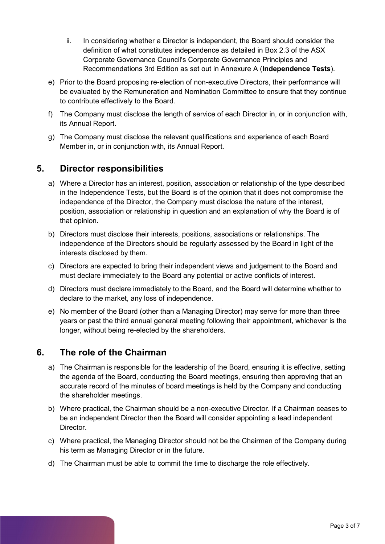- ii. In considering whether a Director is independent, the Board should consider the definition of what constitutes independence as detailed in Box 2.3 of the ASX Corporate Governance Council's Corporate Governance Principles and Recommendations 3rd Edition as set out in Annexure A (**Independence Tests**).
- e) Prior to the Board proposing re-election of non-executive Directors, their performance will be evaluated by the Remuneration and Nomination Committee to ensure that they continue to contribute effectively to the Board.
- f) The Company must disclose the length of service of each Director in, or in conjunction with, its Annual Report.
- g) The Company must disclose the relevant qualifications and experience of each Board Member in, or in conjunction with, its Annual Report.

#### **5. Director responsibilities**

- a) Where a Director has an interest, position, association or relationship of the type described in the Independence Tests, but the Board is of the opinion that it does not compromise the independence of the Director, the Company must disclose the nature of the interest, position, association or relationship in question and an explanation of why the Board is of that opinion.
- b) Directors must disclose their interests, positions, associations or relationships. The independence of the Directors should be regularly assessed by the Board in light of the interests disclosed by them.
- c) Directors are expected to bring their independent views and judgement to the Board and must declare immediately to the Board any potential or active conflicts of interest.
- d) Directors must declare immediately to the Board, and the Board will determine whether to declare to the market, any loss of independence.
- e) No member of the Board (other than a Managing Director) may serve for more than three years or past the third annual general meeting following their appointment, whichever is the longer, without being re-elected by the shareholders.

#### **6. The role of the Chairman**

- a) The Chairman is responsible for the leadership of the Board, ensuring it is effective, setting the agenda of the Board, conducting the Board meetings, ensuring then approving that an accurate record of the minutes of board meetings is held by the Company and conducting the shareholder meetings.
- b) Where practical, the Chairman should be a non-executive Director. If a Chairman ceases to be an independent Director then the Board will consider appointing a lead independent Director.
- c) Where practical, the Managing Director should not be the Chairman of the Company during his term as Managing Director or in the future.
- d) The Chairman must be able to commit the time to discharge the role effectively.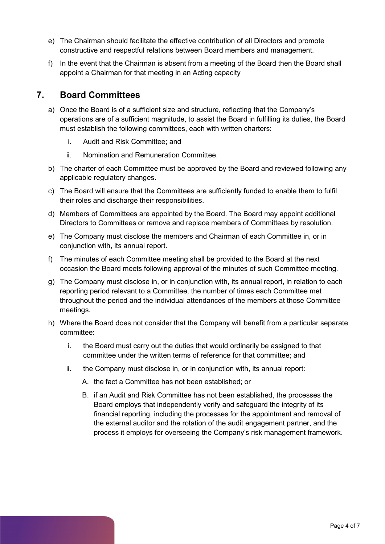- e) The Chairman should facilitate the effective contribution of all Directors and promote constructive and respectful relations between Board members and management.
- f) In the event that the Chairman is absent from a meeting of the Board then the Board shall appoint a Chairman for that meeting in an Acting capacity

#### **7. Board Committees**

- a) Once the Board is of a sufficient size and structure, reflecting that the Company's operations are of a sufficient magnitude, to assist the Board in fulfilling its duties, the Board must establish the following committees, each with written charters:
	- i. Audit and Risk Committee; and
	- ii. Nomination and Remuneration Committee.
- b) The charter of each Committee must be approved by the Board and reviewed following any applicable regulatory changes.
- c) The Board will ensure that the Committees are sufficiently funded to enable them to fulfil their roles and discharge their responsibilities.
- d) Members of Committees are appointed by the Board. The Board may appoint additional Directors to Committees or remove and replace members of Committees by resolution.
- e) The Company must disclose the members and Chairman of each Committee in, or in conjunction with, its annual report.
- f) The minutes of each Committee meeting shall be provided to the Board at the next occasion the Board meets following approval of the minutes of such Committee meeting.
- g) The Company must disclose in, or in conjunction with, its annual report, in relation to each reporting period relevant to a Committee, the number of times each Committee met throughout the period and the individual attendances of the members at those Committee meetings.
- h) Where the Board does not consider that the Company will benefit from a particular separate committee:
	- i. the Board must carry out the duties that would ordinarily be assigned to that committee under the written terms of reference for that committee; and
	- ii. the Company must disclose in, or in conjunction with, its annual report:
		- A. the fact a Committee has not been established; or
		- B. if an Audit and Risk Committee has not been established, the processes the Board employs that independently verify and safeguard the integrity of its financial reporting, including the processes for the appointment and removal of the external auditor and the rotation of the audit engagement partner, and the process it employs for overseeing the Company's risk management framework.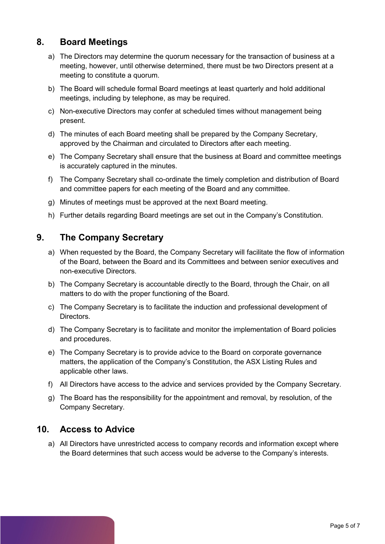#### **8. Board Meetings**

- a) The Directors may determine the quorum necessary for the transaction of business at a meeting, however, until otherwise determined, there must be two Directors present at a meeting to constitute a quorum.
- b) The Board will schedule formal Board meetings at least quarterly and hold additional meetings, including by telephone, as may be required.
- c) Non-executive Directors may confer at scheduled times without management being present.
- d) The minutes of each Board meeting shall be prepared by the Company Secretary, approved by the Chairman and circulated to Directors after each meeting.
- e) The Company Secretary shall ensure that the business at Board and committee meetings is accurately captured in the minutes.
- f) The Company Secretary shall co-ordinate the timely completion and distribution of Board and committee papers for each meeting of the Board and any committee.
- g) Minutes of meetings must be approved at the next Board meeting.
- h) Further details regarding Board meetings are set out in the Company's Constitution.

### **9. The Company Secretary**

- a) When requested by the Board, the Company Secretary will facilitate the flow of information of the Board, between the Board and its Committees and between senior executives and non-executive Directors.
- b) The Company Secretary is accountable directly to the Board, through the Chair, on all matters to do with the proper functioning of the Board.
- c) The Company Secretary is to facilitate the induction and professional development of Directors.
- d) The Company Secretary is to facilitate and monitor the implementation of Board policies and procedures.
- e) The Company Secretary is to provide advice to the Board on corporate governance matters, the application of the Company's Constitution, the ASX Listing Rules and applicable other laws.
- f) All Directors have access to the advice and services provided by the Company Secretary.
- g) The Board has the responsibility for the appointment and removal, by resolution, of the Company Secretary.

#### **10. Access to Advice**

a) All Directors have unrestricted access to company records and information except where the Board determines that such access would be adverse to the Company's interests.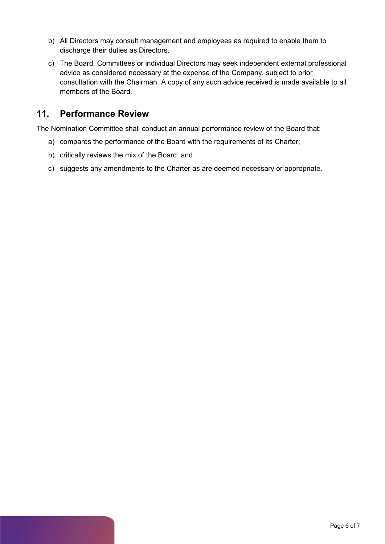- b) All Directors may consult management and employees as required to enable them to discharge their duties as Directors.
- c) The Board, Committees or individual Directors may seek independent external professional advice as considered necessary at the expense of the Company, subject to prior consultation with the Chairman. A copy of any such advice received is made available to all members of the Board.

#### **11. Performance Review**

The Nomination Committee shall conduct an annual performance review of the Board that:

- a) compares the performance of the Board with the requirements of its Charter;
- b) critically reviews the mix of the Board; and
- c) suggests any amendments to the Charter as are deemed necessary or appropriate.